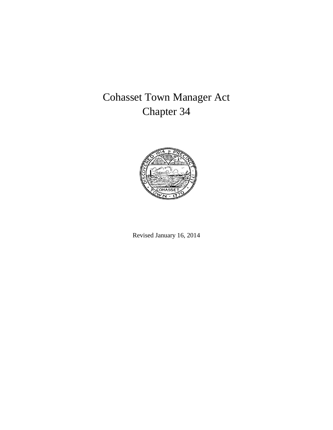# Cohasset Town Manager Act Chapter 34



Revised January 16, 2014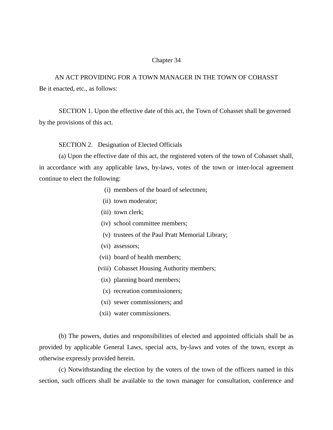#### Chapter 34

AN ACT PROVIDING FOR A TOWN MANAGER IN THE TOWN OF COHASST Be it enacted, etc., as follows:

SECTION 1. Upon the effective date of this act, the Town of Cohasset shall be governed by the provisions of this act.

SECTION 2. Designation of Elected Officials

(a) Upon the effective date of this act, the registered voters of the town of Cohasset shall, in accordance with any applicable laws, by-laws, votes of the town or inter-local agreement continue to elect the following:

- (i) members of the board of selectmen;
- (ii) town moderator;
- (iii) town clerk;
- (iv) school committee members;
- (v) trustees of the Paul Pratt Memorial Library;
- (vi) assessors;
- (vii) board of health members;
- (viii) Cohasset Housing Authority members;
- (ix) planning board members;
- (x) recreation commissioners;
- (xi) sewer commissioners; and
- (xii) water commissioners.

(b) The powers, duties and responsibilities of elected and appointed officials shall be as provided by applicable General Laws, special acts, by-laws and votes of the town, except as otherwise expressly provided herein.

(c) Notwithstanding the election by the voters of the town of the officers named in this section, such officers shall be available to the town manager for consultation, conference and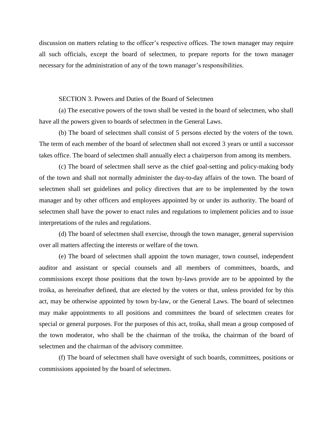discussion on matters relating to the officer's respective offices. The town manager may require all such officials, except the board of selectmen, to prepare reports for the town manager necessary for the administration of any of the town manager's responsibilities.

#### SECTION 3. Powers and Duties of the Board of Selectmen

(a) The executive powers of the town shall be vested in the board of selectmen, who shall have all the powers given to boards of selectmen in the General Laws.

(b) The board of selectmen shall consist of 5 persons elected by the voters of the town. The term of each member of the board of selectmen shall not exceed 3 years or until a successor takes office. The board of selectmen shall annually elect a chairperson from among its members.

(c) The board of selectmen shall serve as the chief goal-setting and policy-making body of the town and shall not normally administer the day-to-day affairs of the town. The board of selectmen shall set guidelines and policy directives that are to be implemented by the town manager and by other officers and employees appointed by or under its authority. The board of selectmen shall have the power to enact rules and regulations to implement policies and to issue interpretations of the rules and regulations.

(d) The board of selectmen shall exercise, through the town manager, general supervision over all matters affecting the interests or welfare of the town.

(e) The board of selectmen shall appoint the town manager, town counsel, independent auditor and assistant or special counsels and all members of committees, boards, and commissions except those positions that the town by-laws provide are to be appointed by the troika, as hereinafter defined, that are elected by the voters or that, unless provided for by this act, may be otherwise appointed by town by-law, or the General Laws. The board of selectmen may make appointments to all positions and committees the board of selectmen creates for special or general purposes. For the purposes of this act, troika, shall mean a group composed of the town moderator, who shall be the chairman of the troika, the chairman of the board of selectmen and the chairman of the advisory committee.

(f) The board of selectmen shall have oversight of such boards, committees, positions or commissions appointed by the board of selectmen.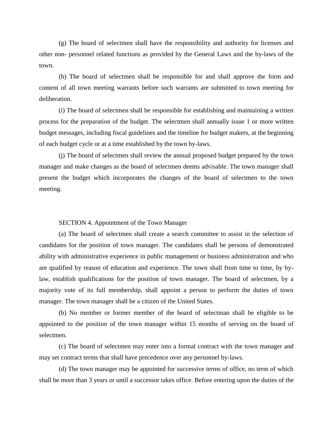(g) The board of selectmen shall have the responsibility and authority for licenses and other non- personnel related functions as provided by the General Laws and the by-laws of the town.

(h) The board of selectmen shall be responsible for and shall approve the form and content of all town meeting warrants before such warrants are submitted to town meeting for deliberation.

(i) The board of selectmen shall be responsible for establishing and maintaining a written process for the preparation of the budget. The selectmen shall annually issue 1 or more written budget messages, including fiscal guidelines and the timeline for budget makers, at the beginning of each budget cycle or at a time established by the town by-laws.

(j) The board of selectmen shall review the annual proposed budget prepared by the town manager and make changes as the board of selectmen deems advisable. The town manager shall present the budget which incorporates the changes of the board of selectmen to the town meeting.

### SECTION 4. Appointment of the Town Manager

(a) The board of selectmen shall create a search committee to assist in the selection of candidates for the position of town manager. The candidates shall be persons of demonstrated ability with administrative experience in public management or business administration and who are qualified by reason of education and experience. The town shall from time to time, by bylaw, establish qualifications for the position of town manager. The board of selectmen, by a majority vote of its full membership, shall appoint a person to perform the duties of town manager. The town manager shall be a citizen of the United States.

(b) No member or former member of the board of selectman shall be eligible to be appointed to the position of the town manager within 15 months of serving on the board of selectmen.

(c) The board of selectmen may enter into a formal contract with the town manager and may set contract terms that shall have precedence over any personnel by-laws.

(d) The town manager may be appointed for successive terms of office, no term of which shall be more than 3 years or until a successor takes office. Before entering upon the duties of the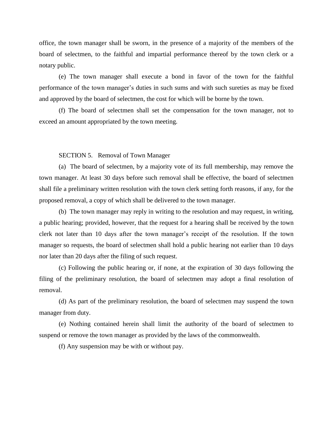office, the town manager shall be sworn, in the presence of a majority of the members of the board of selectmen, to the faithful and impartial performance thereof by the town clerk or a notary public.

(e) The town manager shall execute a bond in favor of the town for the faithful performance of the town manager's duties in such sums and with such sureties as may be fixed and approved by the board of selectmen, the cost for which will be borne by the town.

(f) The board of selectmen shall set the compensation for the town manager, not to exceed an amount appropriated by the town meeting.

SECTION 5. Removal of Town Manager

(a) The board of selectmen, by a majority vote of its full membership, may remove the town manager. At least 30 days before such removal shall be effective, the board of selectmen shall file a preliminary written resolution with the town clerk setting forth reasons, if any, for the proposed removal, a copy of which shall be delivered to the town manager.

(b) The town manager may reply in writing to the resolution and may request, in writing, a public hearing; provided, however, that the request for a hearing shall be received by the town clerk not later than 10 days after the town manager's receipt of the resolution. If the town manager so requests, the board of selectmen shall hold a public hearing not earlier than 10 days nor later than 20 days after the filing of such request.

(c) Following the public hearing or, if none, at the expiration of 30 days following the filing of the preliminary resolution, the board of selectmen may adopt a final resolution of removal.

(d) As part of the preliminary resolution, the board of selectmen may suspend the town manager from duty.

(e) Nothing contained herein shall limit the authority of the board of selectmen to suspend or remove the town manager as provided by the laws of the commonwealth.

(f) Any suspension may be with or without pay.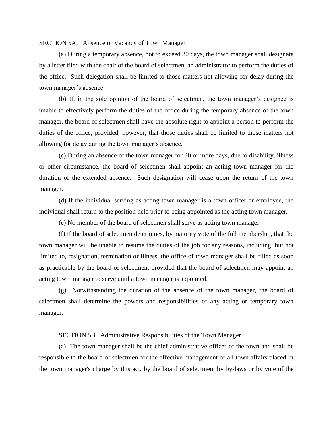#### SECTION 5A. Absence or Vacancy of Town Manager

(a) During a temporary absence, not to exceed 30 days, the town manager shall designate by a letter filed with the chair of the board of selectmen, an administrator to perform the duties of the office. Such delegation shall be limited to those matters not allowing for delay during the town manager's absence.

(b) If, in the sole opinion of the board of selectmen, the town manager's designee is unable to effectively perform the duties of the office during the temporary absence of the town manager, the board of selectmen shall have the absolute right to appoint a person to perform the duties of the office; provided, however, that those duties shall be limited to those matters not allowing for delay during the town manager's absence.

(c) During an absence of the town manager for 30 or more days, due to disability, illness or other circumstance, the board of selectmen shall appoint an acting town manager for the duration of the extended absence. Such designation will cease upon the return of the town manager.

(d) If the individual serving as acting town manager is a town officer or employee, the individual shall return to the position held prior to being appointed as the acting town manager.

(e) No member of the board of selectmen shall serve as acting town manager.

(f) If the board of selectmen determines, by majority vote of the full membership, that the town manager will be unable to resume the duties of the job for any reasons, including, but not limited to, resignation, termination or illness, the office of town manager shall be filled as soon as practicable by the board of selectmen, provided that the board of selectmen may appoint an acting town manager to serve until a town manager is appointed.

(g) Notwithstanding the duration of the absence of the town manager, the board of selectmen shall determine the powers and responsibilities of any acting or temporary town manager.

#### SECTION 5B. Administrative Responsibilities of the Town Manager

(a) The town manager shall be the chief administrative officer of the town and shall be responsible to the board of selectmen for the effective management of all town affairs placed in the town manager's charge by this act, by the board of selectmen, by by-laws or by vote of the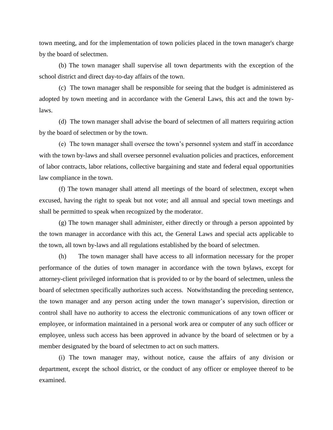town meeting, and for the implementation of town policies placed in the town manager's charge by the board of selectmen.

(b) The town manager shall supervise all town departments with the exception of the school district and direct day-to-day affairs of the town.

(c) The town manager shall be responsible for seeing that the budget is administered as adopted by town meeting and in accordance with the General Laws, this act and the town bylaws.

(d) The town manager shall advise the board of selectmen of all matters requiring action by the board of selectmen or by the town.

(e) The town manager shall oversee the town's personnel system and staff in accordance with the town by-laws and shall oversee personnel evaluation policies and practices, enforcement of labor contracts, labor relations, collective bargaining and state and federal equal opportunities law compliance in the town.

(f) The town manager shall attend all meetings of the board of selectmen, except when excused, having the right to speak but not vote; and all annual and special town meetings and shall be permitted to speak when recognized by the moderator.

(g) The town manager shall administer, either directly or through a person appointed by the town manager in accordance with this act, the General Laws and special acts applicable to the town, all town by-laws and all regulations established by the board of selectmen.

(h) The town manager shall have access to all information necessary for the proper performance of the duties of town manager in accordance with the town bylaws, except for attorney-client privileged information that is provided to or by the board of selectmen, unless the board of selectmen specifically authorizes such access. Notwithstanding the preceding sentence, the town manager and any person acting under the town manager's supervision, direction or control shall have no authority to access the electronic communications of any town officer or employee, or information maintained in a personal work area or computer of any such officer or employee, unless such access has been approved in advance by the board of selectmen or by a member designated by the board of selectmen to act on such matters.

(i) The town manager may, without notice, cause the affairs of any division or department, except the school district, or the conduct of any officer or employee thereof to be examined.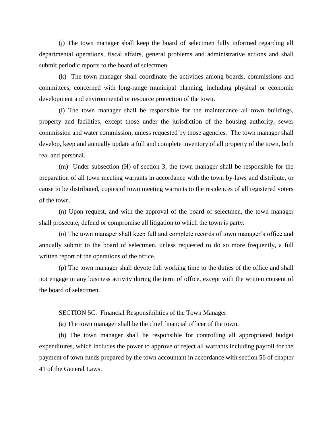(j) The town manager shall keep the board of selectmen fully informed regarding all departmental operations, fiscal affairs, general problems and administrative actions and shall submit periodic reports to the board of selectmen.

(k) The town manager shall coordinate the activities among boards, commissions and committees, concerned with long-range municipal planning, including physical or economic development and environmental or resource protection of the town.

(l) The town manager shall be responsible for the maintenance all town buildings, property and facilities, except those under the jurisdiction of the housing authority, sewer commission and water commission, unless requested by those agencies. The town manager shall develop, keep and annually update a full and complete inventory of all property of the town, both real and personal.

(m) Under subsection (H) of section 3, the town manager shall be responsible for the preparation of all town meeting warrants in accordance with the town by-laws and distribute, or cause to be distributed, copies of town meeting warrants to the residences of all registered voters of the town.

(n) Upon request, and with the approval of the board of selectmen, the town manager shall prosecute, defend or compromise all litigation to which the town is party.

(o) The town manager shall keep full and complete records of town manager's office and annually submit to the board of selectmen, unless requested to do so more frequently, a full written report of the operations of the office.

(p) The town manager shall devote full working time to the duties of the office and shall not engage in any business activity during the term of office, except with the written consent of the board of selectmen.

SECTION 5C. Financial Responsibilities of the Town Manager

(a) The town manager shall be the chief financial officer of the town.

(b) The town manager shall be responsible for controlling all appropriated budget expenditures, which includes the power to approve or reject all warrants including payroll for the payment of town funds prepared by the town accountant in accordance with section 56 of chapter 41 of the General Laws.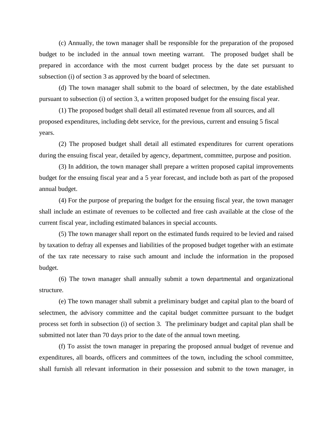(c) Annually, the town manager shall be responsible for the preparation of the proposed budget to be included in the annual town meeting warrant. The proposed budget shall be prepared in accordance with the most current budget process by the date set pursuant to subsection (i) of section 3 as approved by the board of selectmen.

(d) The town manager shall submit to the board of selectmen, by the date established pursuant to subsection (i) of section 3, a written proposed budget for the ensuing fiscal year.

(1) The proposed budget shall detail all estimated revenue from all sources, and all proposed expenditures, including debt service, for the previous, current and ensuing 5 fiscal years.

(2) The proposed budget shall detail all estimated expenditures for current operations during the ensuing fiscal year, detailed by agency, department, committee, purpose and position.

(3) In addition, the town manager shall prepare a written proposed capital improvements budget for the ensuing fiscal year and a 5 year forecast, and include both as part of the proposed annual budget.

(4) For the purpose of preparing the budget for the ensuing fiscal year, the town manager shall include an estimate of revenues to be collected and free cash available at the close of the current fiscal year, including estimated balances in special accounts.

(5) The town manager shall report on the estimated funds required to be levied and raised by taxation to defray all expenses and liabilities of the proposed budget together with an estimate of the tax rate necessary to raise such amount and include the information in the proposed budget.

(6) The town manager shall annually submit a town departmental and organizational structure.

(e) The town manager shall submit a preliminary budget and capital plan to the board of selectmen, the advisory committee and the capital budget committee pursuant to the budget process set forth in subsection (i) of section 3. The preliminary budget and capital plan shall be submitted not later than 70 days prior to the date of the annual town meeting.

(f) To assist the town manager in preparing the proposed annual budget of revenue and expenditures, all boards, officers and committees of the town, including the school committee, shall furnish all relevant information in their possession and submit to the town manager, in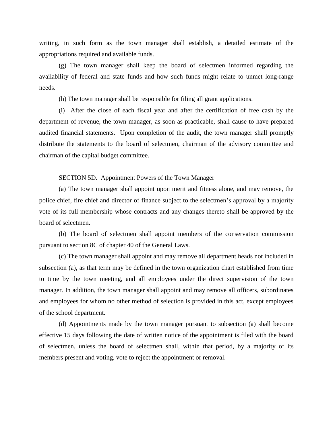writing, in such form as the town manager shall establish, a detailed estimate of the appropriations required and available funds.

(g) The town manager shall keep the board of selectmen informed regarding the availability of federal and state funds and how such funds might relate to unmet long-range needs.

(h) The town manager shall be responsible for filing all grant applications.

(i) After the close of each fiscal year and after the certification of free cash by the department of revenue, the town manager, as soon as practicable, shall cause to have prepared audited financial statements. Upon completion of the audit, the town manager shall promptly distribute the statements to the board of selectmen, chairman of the advisory committee and chairman of the capital budget committee.

SECTION 5D. Appointment Powers of the Town Manager

(a) The town manager shall appoint upon merit and fitness alone, and may remove, the police chief, fire chief and director of finance subject to the selectmen's approval by a majority vote of its full membership whose contracts and any changes thereto shall be approved by the board of selectmen.

(b) The board of selectmen shall appoint members of the conservation commission pursuant to section 8C of chapter 40 of the General Laws.

(c) The town manager shall appoint and may remove all department heads not included in subsection (a), as that term may be defined in the town organization chart established from time to time by the town meeting, and all employees under the direct supervision of the town manager. In addition, the town manager shall appoint and may remove all officers, subordinates and employees for whom no other method of selection is provided in this act, except employees of the school department.

(d) Appointments made by the town manager pursuant to subsection (a) shall become effective 15 days following the date of written notice of the appointment is filed with the board of selectmen, unless the board of selectmen shall, within that period, by a majority of its members present and voting, vote to reject the appointment or removal.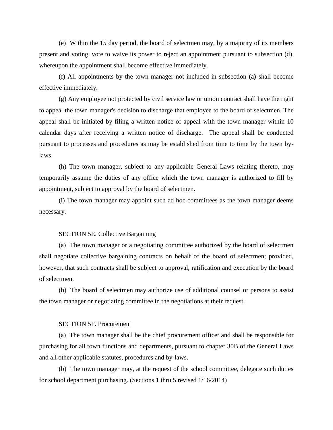(e) Within the 15 day period, the board of selectmen may, by a majority of its members present and voting, vote to waive its power to reject an appointment pursuant to subsection (d), whereupon the appointment shall become effective immediately.

(f) All appointments by the town manager not included in subsection (a) shall become effective immediately.

(g) Any employee not protected by civil service law or union contract shall have the right to appeal the town manager's decision to discharge that employee to the board of selectmen. The appeal shall be initiated by filing a written notice of appeal with the town manager within 10 calendar days after receiving a written notice of discharge. The appeal shall be conducted pursuant to processes and procedures as may be established from time to time by the town bylaws.

(h) The town manager, subject to any applicable General Laws relating thereto, may temporarily assume the duties of any office which the town manager is authorized to fill by appointment, subject to approval by the board of selectmen.

(i) The town manager may appoint such ad hoc committees as the town manager deems necessary.

#### SECTION 5E. Collective Bargaining

(a) The town manager or a negotiating committee authorized by the board of selectmen shall negotiate collective bargaining contracts on behalf of the board of selectmen; provided, however, that such contracts shall be subject to approval, ratification and execution by the board of selectmen.

(b) The board of selectmen may authorize use of additional counsel or persons to assist the town manager or negotiating committee in the negotiations at their request.

## SECTION 5F. Procurement

(a) The town manager shall be the chief procurement officer and shall be responsible for purchasing for all town functions and departments, pursuant to chapter 30B of the General Laws and all other applicable statutes, procedures and by-laws.

(b) The town manager may, at the request of the school committee, delegate such duties for school department purchasing. (Sections 1 thru 5 revised 1/16/2014)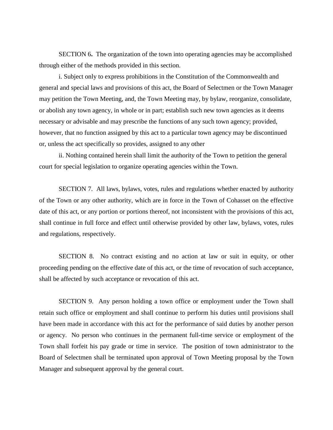SECTION 6**.** The organization of the town into operating agencies may be accomplished through either of the methods provided in this section.

i. Subject only to express prohibitions in the Constitution of the Commonwealth and general and special laws and provisions of this act, the Board of Selectmen or the Town Manager may petition the Town Meeting, and, the Town Meeting may, by bylaw, reorganize, consolidate, or abolish any town agency, in whole or in part; establish such new town agencies as it deems necessary or advisable and may prescribe the functions of any such town agency; provided, however, that no function assigned by this act to a particular town agency may be discontinued or, unless the act specifically so provides, assigned to any other

ii. Nothing contained herein shall limit the authority of the Town to petition the general court for special legislation to organize operating agencies within the Town.

SECTION 7.All laws, bylaws, votes, rules and regulations whether enacted by authority of the Town or any other authority, which are in force in the Town of Cohasset on the effective date of this act, or any portion or portions thereof, not inconsistent with the provisions of this act, shall continue in full force and effect until otherwise provided by other law, bylaws, votes, rules and regulations, respectively.

SECTION 8. No contract existing and no action at law or suit in equity, or other proceeding pending on the effective date of this act, or the time of revocation of such acceptance, shall be affected by such acceptance or revocation of this act.

 SECTION 9.Any person holding a town office or employment under the Town shall retain such office or employment and shall continue to perform his duties until provisions shall have been made in accordance with this act for the performance of said duties by another person or agency. No person who continues in the permanent full-time service or employment of the Town shall forfeit his pay grade or time in service. The position of town administrator to the Board of Selectmen shall be terminated upon approval of Town Meeting proposal by the Town Manager and subsequent approval by the general court.